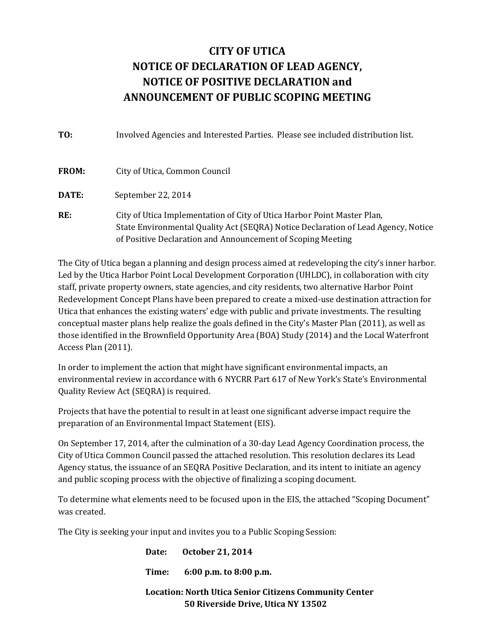## CITY OF UTICA NOTICE OF DECLARATION OF LEAD AGENCY, NOTICE OF POSITIVE DECLARATION and ANNOUNCEMENT OF PUBLIC SCOPING MEETING

| TO:          | Involved Agencies and Interested Parties. Please see included distribution list.                                                                                                                                            |
|--------------|-----------------------------------------------------------------------------------------------------------------------------------------------------------------------------------------------------------------------------|
| FROM:        | City of Utica, Common Council                                                                                                                                                                                               |
| <b>DATE:</b> | September 22, 2014                                                                                                                                                                                                          |
| RE:          | City of Utica Implementation of City of Utica Harbor Point Master Plan,<br>State Environmental Quality Act (SEQRA) Notice Declaration of Lead Agency, Notice<br>of Positive Declaration and Announcement of Scoping Meeting |

The City of Utica began a planning and design process aimed at redeveloping the city's inner harbor. Led by the Utica Harbor Point Local Development Corporation (UHLDC), in collaboration with city staff, private property owners, state agencies, and city residents, two alternative Harbor Point Redevelopment Concept Plans have been prepared to create a mixed-use destination attraction for Utica that enhances the existing waters' edge with public and private investments. The resulting conceptual master plans help realize the goals defined in the City's Master Plan (2011), as well as those identified in the Brownfield Opportunity Area (BOA) Study (2014) and the Local Waterfront Access Plan (2011).

In order to implement the action that might have significant environmental impacts, an environmental review in accordance with 6 NYCRR Part 617 of New York's State's Environmental Quality Review Act (SEQRA) is required.

Projects that have the potential to result in at least one significant adverse impact require the preparation of an Environmental Impact Statement (EIS).

On September 17, 2014, after the culmination of a 30-day Lead Agency Coordination process, the City of Utica Common Council passed the attached resolution. This resolution declares its Lead Agency status, the issuance of an SEQRA Positive Declaration, and its intent to initiate an agency and public scoping process with the objective of finalizing a scoping document.

To determine what elements need to be focused upon in the EIS, the attached "Scoping Document" was created.

The City is seeking your input and invites you to a Public Scoping Session:

|                                                               | Date: October 21, 2014                          |
|---------------------------------------------------------------|-------------------------------------------------|
|                                                               | Time: $6:00 \text{ p.m. to } 8:00 \text{ p.m.}$ |
| <b>Location: North Utica Senior Citizens Community Center</b> |                                                 |
|                                                               | 50 Riverside Drive, Utica NY 13502              |